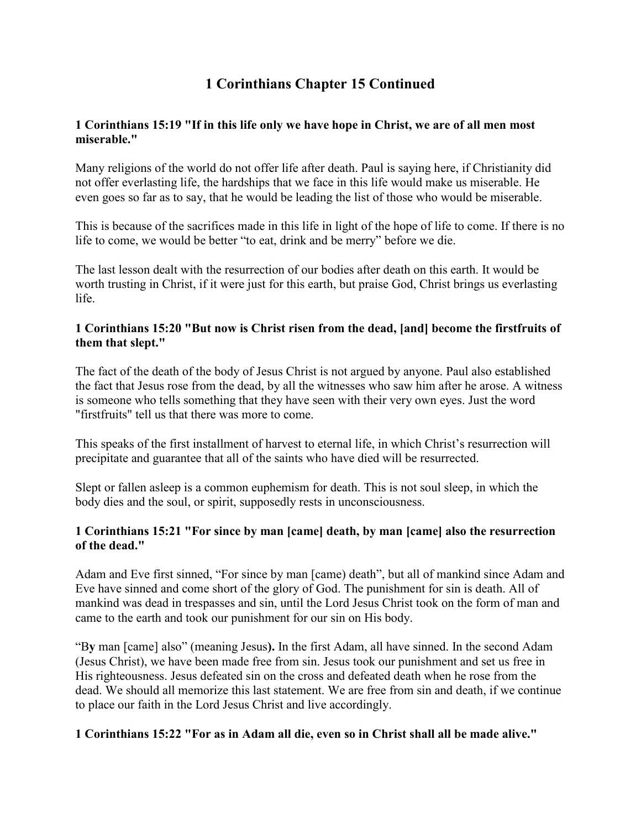# **1 Corinthians Chapter 15 Continued**

## **1 Corinthians 15:19 "If in this life only we have hope in Christ, we are of all men most miserable."**

Many religions of the world do not offer life after death. Paul is saying here, if Christianity did not offer everlasting life, the hardships that we face in this life would make us miserable. He even goes so far as to say, that he would be leading the list of those who would be miserable.

This is because of the sacrifices made in this life in light of the hope of life to come. If there is no life to come, we would be better "to eat, drink and be merry" before we die.

The last lesson dealt with the resurrection of our bodies after death on this earth. It would be worth trusting in Christ, if it were just for this earth, but praise God, Christ brings us everlasting life.

# **1 Corinthians 15:20 "But now is Christ risen from the dead, [and] become the firstfruits of them that slept."**

The fact of the death of the body of Jesus Christ is not argued by anyone. Paul also established the fact that Jesus rose from the dead, by all the witnesses who saw him after he arose. A witness is someone who tells something that they have seen with their very own eyes. Just the word "firstfruits" tell us that there was more to come.

This speaks of the first installment of harvest to eternal life, in which Christ's resurrection will precipitate and guarantee that all of the saints who have died will be resurrected.

Slept or fallen asleep is a common euphemism for death. This is not soul sleep, in which the body dies and the soul, or spirit, supposedly rests in unconsciousness.

#### **1 Corinthians 15:21 "For since by man [came] death, by man [came] also the resurrection of the dead."**

Adam and Eve first sinned, "For since by man [came) death", but all of mankind since Adam and Eve have sinned and come short of the glory of God. The punishment for sin is death. All of mankind was dead in trespasses and sin, until the Lord Jesus Christ took on the form of man and came to the earth and took our punishment for our sin on His body.

"B**y** man [came] also" (meaning Jesus**).** In the first Adam, all have sinned. In the second Adam (Jesus Christ), we have been made free from sin. Jesus took our punishment and set us free in His righteousness. Jesus defeated sin on the cross and defeated death when he rose from the dead. We should all memorize this last statement. We are free from sin and death, if we continue to place our faith in the Lord Jesus Christ and live accordingly.

# **1 Corinthians 15:22 "For as in Adam all die, even so in Christ shall all be made alive."**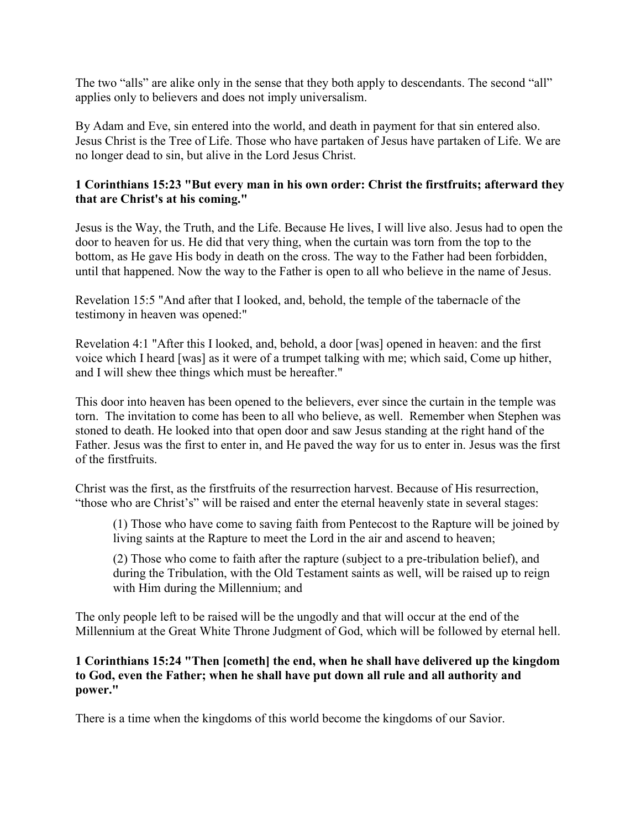The two "alls" are alike only in the sense that they both apply to descendants. The second "all" applies only to believers and does not imply universalism.

By Adam and Eve, sin entered into the world, and death in payment for that sin entered also. Jesus Christ is the Tree of Life. Those who have partaken of Jesus have partaken of Life. We are no longer dead to sin, but alive in the Lord Jesus Christ.

# **1 Corinthians 15:23 "But every man in his own order: Christ the firstfruits; afterward they that are Christ's at his coming."**

Jesus is the Way, the Truth, and the Life. Because He lives, I will live also. Jesus had to open the door to heaven for us. He did that very thing, when the curtain was torn from the top to the bottom, as He gave His body in death on the cross. The way to the Father had been forbidden, until that happened. Now the way to the Father is open to all who believe in the name of Jesus.

Revelation 15:5 "And after that I looked, and, behold, the temple of the tabernacle of the testimony in heaven was opened:"

Revelation 4:1 "After this I looked, and, behold, a door [was] opened in heaven: and the first voice which I heard [was] as it were of a trumpet talking with me; which said, Come up hither, and I will shew thee things which must be hereafter."

This door into heaven has been opened to the believers, ever since the curtain in the temple was torn. The invitation to come has been to all who believe, as well. Remember when Stephen was stoned to death. He looked into that open door and saw Jesus standing at the right hand of the Father. Jesus was the first to enter in, and He paved the way for us to enter in. Jesus was the first of the firstfruits.

Christ was the first, as the firstfruits of the resurrection harvest. Because of His resurrection, "those who are Christ's" will be raised and enter the eternal heavenly state in several stages:

(1) Those who have come to saving faith from Pentecost to the Rapture will be joined by living saints at the Rapture to meet the Lord in the air and ascend to heaven;

(2) Those who come to faith after the rapture (subject to a pre-tribulation belief), and during the Tribulation, with the Old Testament saints as well, will be raised up to reign with Him during the Millennium; and

The only people left to be raised will be the ungodly and that will occur at the end of the Millennium at the Great White Throne Judgment of God, which will be followed by eternal hell.

### **1 Corinthians 15:24 "Then [cometh] the end, when he shall have delivered up the kingdom to God, even the Father; when he shall have put down all rule and all authority and power."**

There is a time when the kingdoms of this world become the kingdoms of our Savior.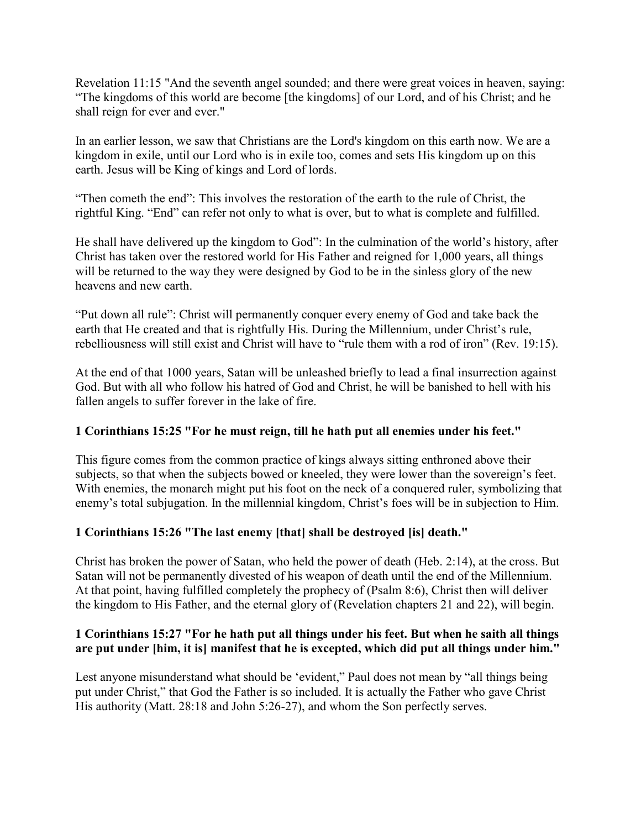Revelation 11:15 "And the seventh angel sounded; and there were great voices in heaven, saying: "The kingdoms of this world are become [the kingdoms] of our Lord, and of his Christ; and he shall reign for ever and ever."

In an earlier lesson, we saw that Christians are the Lord's kingdom on this earth now. We are a kingdom in exile, until our Lord who is in exile too, comes and sets His kingdom up on this earth. Jesus will be King of kings and Lord of lords.

"Then cometh the end": This involves the restoration of the earth to the rule of Christ, the rightful King. "End" can refer not only to what is over, but to what is complete and fulfilled.

He shall have delivered up the kingdom to God": In the culmination of the world's history, after Christ has taken over the restored world for His Father and reigned for 1,000 years, all things will be returned to the way they were designed by God to be in the sinless glory of the new heavens and new earth.

"Put down all rule": Christ will permanently conquer every enemy of God and take back the earth that He created and that is rightfully His. During the Millennium, under Christ's rule, rebelliousness will still exist and Christ will have to "rule them with a rod of iron" (Rev. 19:15).

At the end of that 1000 years, Satan will be unleashed briefly to lead a final insurrection against God. But with all who follow his hatred of God and Christ, he will be banished to hell with his fallen angels to suffer forever in the lake of fire.

# **1 Corinthians 15:25 "For he must reign, till he hath put all enemies under his feet."**

This figure comes from the common practice of kings always sitting enthroned above their subjects, so that when the subjects bowed or kneeled, they were lower than the sovereign's feet. With enemies, the monarch might put his foot on the neck of a conquered ruler, symbolizing that enemy's total subjugation. In the millennial kingdom, Christ's foes will be in subjection to Him.

# **1 Corinthians 15:26 "The last enemy [that] shall be destroyed [is] death."**

Christ has broken the power of Satan, who held the power of death (Heb. 2:14), at the cross. But Satan will not be permanently divested of his weapon of death until the end of the Millennium. At that point, having fulfilled completely the prophecy of (Psalm 8:6), Christ then will deliver the kingdom to His Father, and the eternal glory of (Revelation chapters 21 and 22), will begin.

# **1 Corinthians 15:27 "For he hath put all things under his feet. But when he saith all things are put under [him, it is] manifest that he is excepted, which did put all things under him."**

Lest anyone misunderstand what should be 'evident," Paul does not mean by "all things being put under Christ," that God the Father is so included. It is actually the Father who gave Christ His authority (Matt. 28:18 and John 5:26-27), and whom the Son perfectly serves.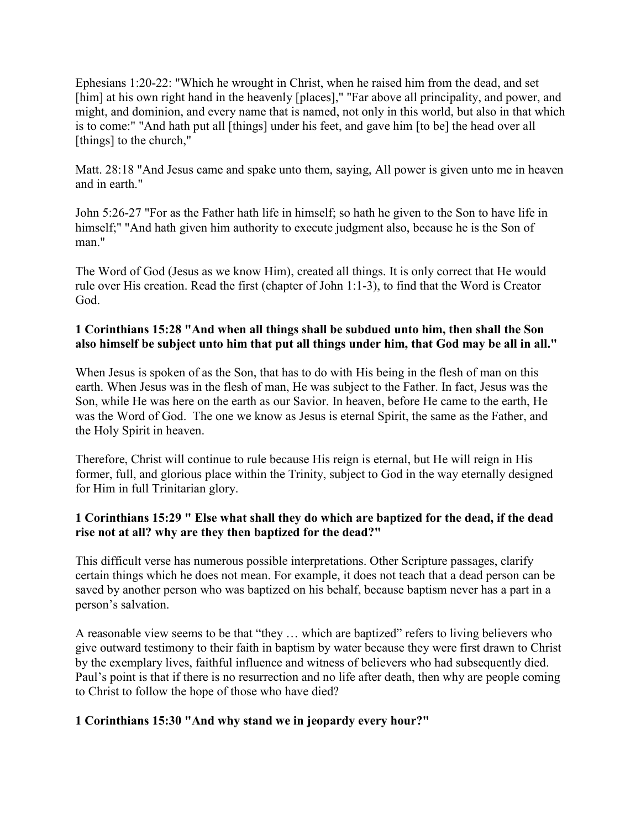Ephesians 1:20-22: "Which he wrought in Christ, when he raised him from the dead, and set [him] at his own right hand in the heavenly [places]," "Far above all principality, and power, and might, and dominion, and every name that is named, not only in this world, but also in that which is to come:" "And hath put all [things] under his feet, and gave him [to be] the head over all [things] to the church,"

Matt. 28:18 "And Jesus came and spake unto them, saying, All power is given unto me in heaven and in earth."

John 5:26-27 "For as the Father hath life in himself; so hath he given to the Son to have life in himself;" "And hath given him authority to execute judgment also, because he is the Son of man<sup>"</sup>

The Word of God (Jesus as we know Him), created all things. It is only correct that He would rule over His creation. Read the first (chapter of John 1:1-3), to find that the Word is Creator God.

## **1 Corinthians 15:28 "And when all things shall be subdued unto him, then shall the Son also himself be subject unto him that put all things under him, that God may be all in all."**

When Jesus is spoken of as the Son, that has to do with His being in the flesh of man on this earth. When Jesus was in the flesh of man, He was subject to the Father. In fact, Jesus was the Son, while He was here on the earth as our Savior. In heaven, before He came to the earth, He was the Word of God. The one we know as Jesus is eternal Spirit, the same as the Father, and the Holy Spirit in heaven.

Therefore, Christ will continue to rule because His reign is eternal, but He will reign in His former, full, and glorious place within the Trinity, subject to God in the way eternally designed for Him in full Trinitarian glory.

# **1 Corinthians 15:29 " Else what shall they do which are baptized for the dead, if the dead rise not at all? why are they then baptized for the dead?"**

This difficult verse has numerous possible interpretations. Other Scripture passages, clarify certain things which he does not mean. For example, it does not teach that a dead person can be saved by another person who was baptized on his behalf, because baptism never has a part in a person's salvation.

A reasonable view seems to be that "they … which are baptized" refers to living believers who give outward testimony to their faith in baptism by water because they were first drawn to Christ by the exemplary lives, faithful influence and witness of believers who had subsequently died. Paul's point is that if there is no resurrection and no life after death, then why are people coming to Christ to follow the hope of those who have died?

# **1 Corinthians 15:30 "And why stand we in jeopardy every hour?"**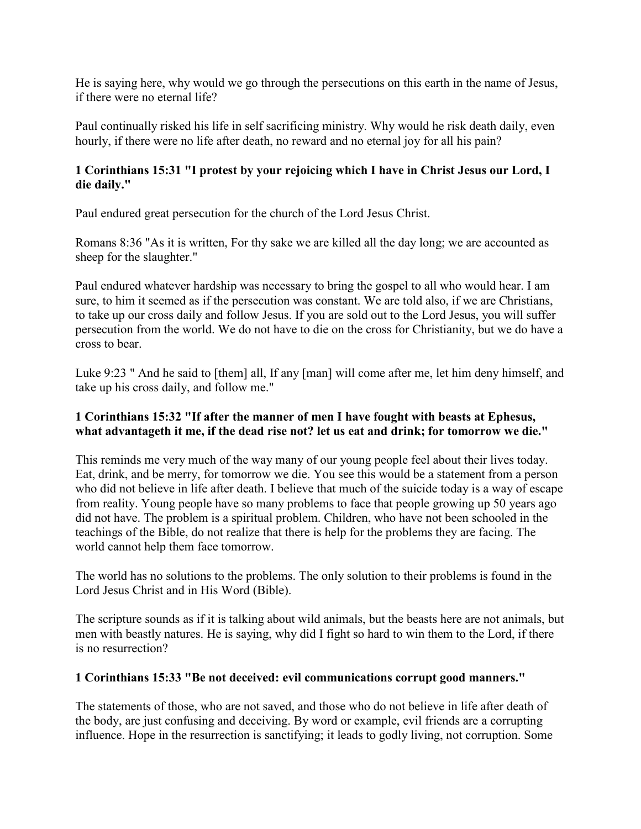He is saying here, why would we go through the persecutions on this earth in the name of Jesus, if there were no eternal life?

Paul continually risked his life in self sacrificing ministry. Why would he risk death daily, even hourly, if there were no life after death, no reward and no eternal joy for all his pain?

# **1 Corinthians 15:31 "I protest by your rejoicing which I have in Christ Jesus our Lord, I die daily."**

Paul endured great persecution for the church of the Lord Jesus Christ.

Romans 8:36 "As it is written, For thy sake we are killed all the day long; we are accounted as sheep for the slaughter."

Paul endured whatever hardship was necessary to bring the gospel to all who would hear. I am sure, to him it seemed as if the persecution was constant. We are told also, if we are Christians, to take up our cross daily and follow Jesus. If you are sold out to the Lord Jesus, you will suffer persecution from the world. We do not have to die on the cross for Christianity, but we do have a cross to bear.

Luke 9:23 " And he said to [them] all, If any [man] will come after me, let him deny himself, and take up his cross daily, and follow me."

# **1 Corinthians 15:32 "If after the manner of men I have fought with beasts at Ephesus, what advantageth it me, if the dead rise not? let us eat and drink; for tomorrow we die."**

This reminds me very much of the way many of our young people feel about their lives today. Eat, drink, and be merry, for tomorrow we die. You see this would be a statement from a person who did not believe in life after death. I believe that much of the suicide today is a way of escape from reality. Young people have so many problems to face that people growing up 50 years ago did not have. The problem is a spiritual problem. Children, who have not been schooled in the teachings of the Bible, do not realize that there is help for the problems they are facing. The world cannot help them face tomorrow.

The world has no solutions to the problems. The only solution to their problems is found in the Lord Jesus Christ and in His Word (Bible).

The scripture sounds as if it is talking about wild animals, but the beasts here are not animals, but men with beastly natures. He is saying, why did I fight so hard to win them to the Lord, if there is no resurrection?

# **1 Corinthians 15:33 "Be not deceived: evil communications corrupt good manners."**

The statements of those, who are not saved, and those who do not believe in life after death of the body, are just confusing and deceiving. By word or example, evil friends are a corrupting influence. Hope in the resurrection is sanctifying; it leads to godly living, not corruption. Some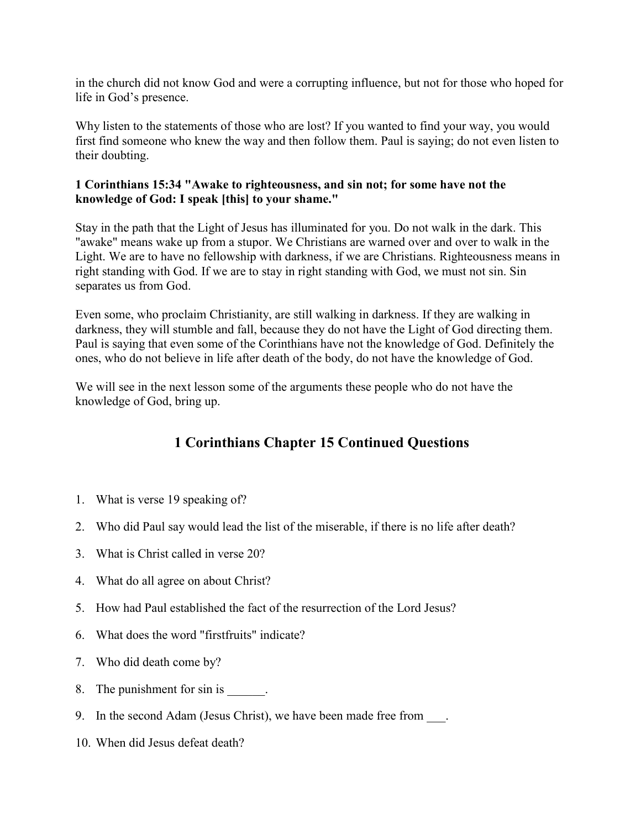in the church did not know God and were a corrupting influence, but not for those who hoped for life in God's presence.

Why listen to the statements of those who are lost? If you wanted to find your way, you would first find someone who knew the way and then follow them. Paul is saying; do not even listen to their doubting.

# **1 Corinthians 15:34 "Awake to righteousness, and sin not; for some have not the knowledge of God: I speak [this] to your shame."**

Stay in the path that the Light of Jesus has illuminated for you. Do not walk in the dark. This "awake" means wake up from a stupor. We Christians are warned over and over to walk in the Light. We are to have no fellowship with darkness, if we are Christians. Righteousness means in right standing with God. If we are to stay in right standing with God, we must not sin. Sin separates us from God.

Even some, who proclaim Christianity, are still walking in darkness. If they are walking in darkness, they will stumble and fall, because they do not have the Light of God directing them. Paul is saying that even some of the Corinthians have not the knowledge of God. Definitely the ones, who do not believe in life after death of the body, do not have the knowledge of God.

We will see in the next lesson some of the arguments these people who do not have the knowledge of God, bring up.

# **1 Corinthians Chapter 15 Continued Questions**

- 1. What is verse 19 speaking of?
- 2. Who did Paul say would lead the list of the miserable, if there is no life after death?
- 3. What is Christ called in verse 20?
- 4. What do all agree on about Christ?
- 5. How had Paul established the fact of the resurrection of the Lord Jesus?
- 6. What does the word "firstfruits" indicate?
- 7. Who did death come by?
- 8. The punishment for sin is  $\qquad \qquad$ .
- 9. In the second Adam (Jesus Christ), we have been made free from ...
- 10. When did Jesus defeat death?